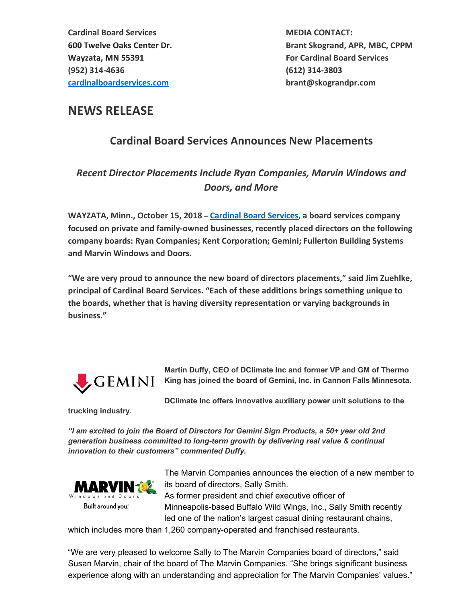600 Twelve Oaks Center Dr. Brant Skogrand, APR, MBC, CPPM

## NEWS RELEASE

## Cardinal Board Services Announces New Placements

## Recent Director Placements Include Ryan Companies, Marvin Windows and Doors, and More

WAYZATA, Minn., October 15, 2018 – Cardinal Board Services, a board services company focused on private and family-owned businesses, recently placed directors on the following company boards: Ryan Companies; Kent Corporation; Gemini; Fullerton Building Systems and Marvin Windows and Doors.

"We are very proud to announce the new board of directors placements," said Jim Zuehlke, principal of Cardinal Board Services. "Each of these additions brings something unique to the boards, whether that is having diversity representation or varying backgrounds in business."



**Martin Duffy, CEO of DClimate Inc and former VP and GM of Thermo King has joined the board of Gemini, Inc. in Cannon Falls Minnesota.**

**trucking industry.**

**DClimate Inc offers innovative auxiliary power unit solutions to the**

*"I am excited to join the Board of Directors for Gemini Sign Products, a 50+ year old 2nd generation business committed to long-term growth by delivering real value & continual innovation to their customers" commented Duffy.*



The Marvin Companies announces the election of a new member to its board of directors, Sally Smith. As former president and chief executive officer of

Minneapolis-based Buffalo Wild Wings, Inc., Sally Smith recently led one of the nation's largest casual dining restaurant chains,

which includes more than 1,260 company-operated and franchised restaurants.

"We are very pleased to welcome Sally to The Marvin Companies board of directors," said Susan Marvin, chair of the board of The Marvin Companies. "She brings significant business experience along with an understanding and appreciation for The Marvin Companies' values."